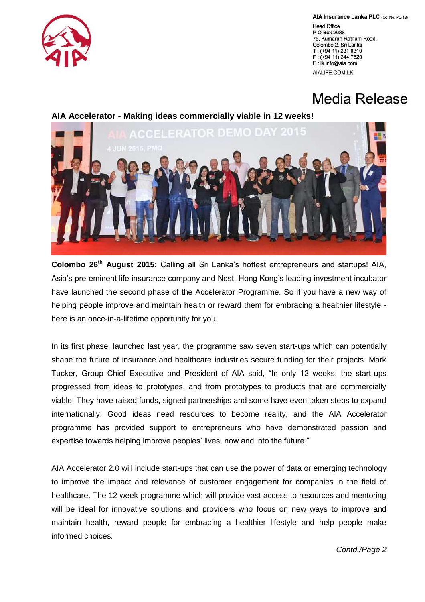

AIA Insurance Lanka PLC (Co. No. PQ 18)

**Head Office** P O Box 2088 75, Kumaran Ratnam Road, Colombo 2, Sri Lanka T: (+94 11) 231 0310 F: (+94 11) 244 7620 E: Ik.info@aia.com AIALIFE.COM.LK

## Media Release

## **AIA Accelerator - Making ideas commercially viable in 12 weeks!**



**Colombo 26th August 2015:** Calling all Sri Lanka's hottest entrepreneurs and startups! AIA, Asia's pre-eminent life insurance company and Nest, Hong Kong's leading investment incubator have launched the second phase of the Accelerator Programme. So if you have a new way of helping people improve and maintain health or reward them for embracing a healthier lifestyle here is an once-in-a-lifetime opportunity for you.

In its first phase, launched last year, the programme saw seven start-ups which can potentially shape the future of insurance and healthcare industries secure funding for their projects. Mark Tucker, Group Chief Executive and President of AIA said, "In only 12 weeks, the start-ups progressed from ideas to prototypes, and from prototypes to products that are commercially viable. They have raised funds, signed partnerships and some have even taken steps to expand internationally. Good ideas need resources to become reality, and the AIA Accelerator programme has provided support to entrepreneurs who have demonstrated passion and expertise towards helping improve peoples' lives, now and into the future."

AIA Accelerator 2.0 will include start-ups that can use the power of data or emerging technology to improve the impact and relevance of customer engagement for companies in the field of healthcare. The 12 week programme which will provide vast access to resources and mentoring will be ideal for innovative solutions and providers who focus on new ways to improve and maintain health, reward people for embracing a healthier lifestyle and help people make informed choices.